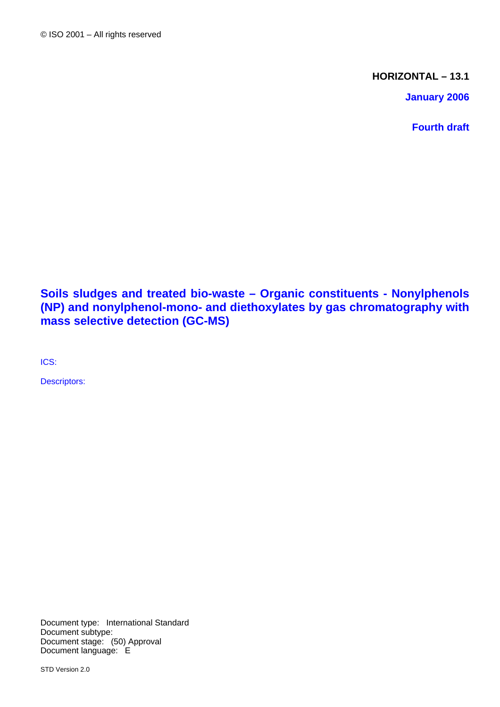**HORIZONTAL – 13.1**

**January 2006**

**Fourth draft** 

**Soils sludges and treated bio-waste – Organic constituents - Nonylphenols (NP) and nonylphenol-mono- and diethoxylates by gas chromatography with mass selective detection (GC-MS)** 

ICS:

Descriptors:

Document type: International Standard Document subtype: Document stage: (50) Approval Document language: E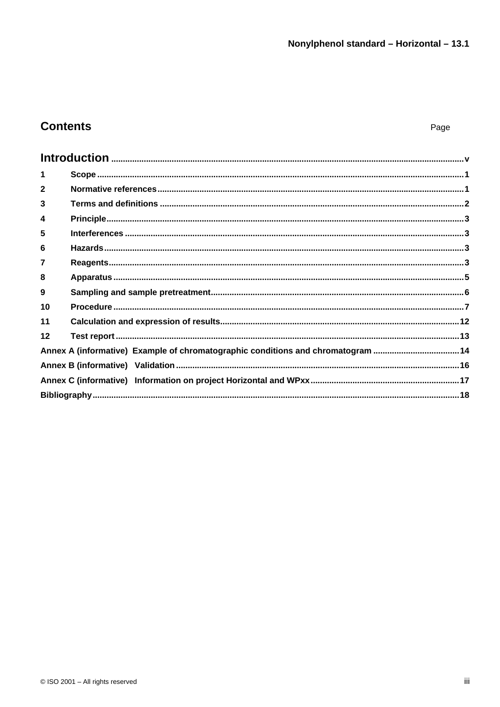## **Contents**

| 1              |                                                                                 |  |
|----------------|---------------------------------------------------------------------------------|--|
| $\mathbf{2}$   |                                                                                 |  |
| 3              |                                                                                 |  |
| 4              |                                                                                 |  |
| 5              |                                                                                 |  |
| 6              |                                                                                 |  |
| $\overline{7}$ |                                                                                 |  |
| 8              |                                                                                 |  |
| 9              |                                                                                 |  |
| 10             |                                                                                 |  |
| 11             |                                                                                 |  |
| 12             |                                                                                 |  |
|                | Annex A (informative) Example of chromatographic conditions and chromatogram 14 |  |
|                |                                                                                 |  |
|                |                                                                                 |  |
|                |                                                                                 |  |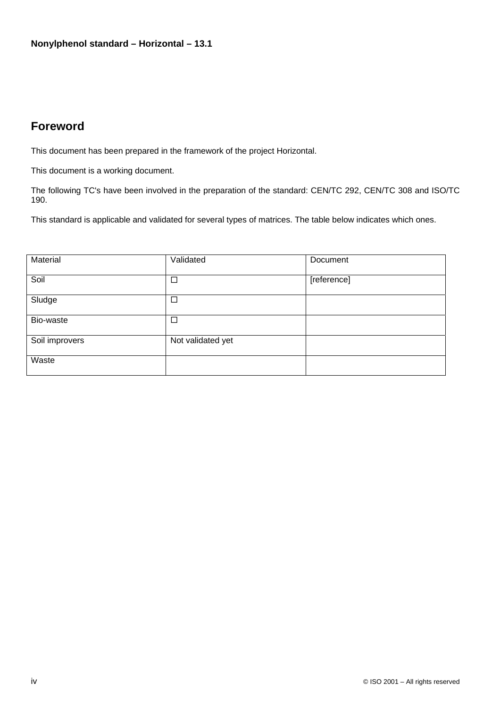## **Foreword**

This document has been prepared in the framework of the project Horizontal.

This document is a working document.

The following TC's have been involved in the preparation of the standard: CEN/TC 292, CEN/TC 308 and ISO/TC 190.

This standard is applicable and validated for several types of matrices. The table below indicates which ones.

| Material       | Validated         | Document    |
|----------------|-------------------|-------------|
| Soil           | $\Box$            | [reference] |
| Sludge         | $\Box$            |             |
| Bio-waste      | $\Box$            |             |
| Soil improvers | Not validated yet |             |
| Waste          |                   |             |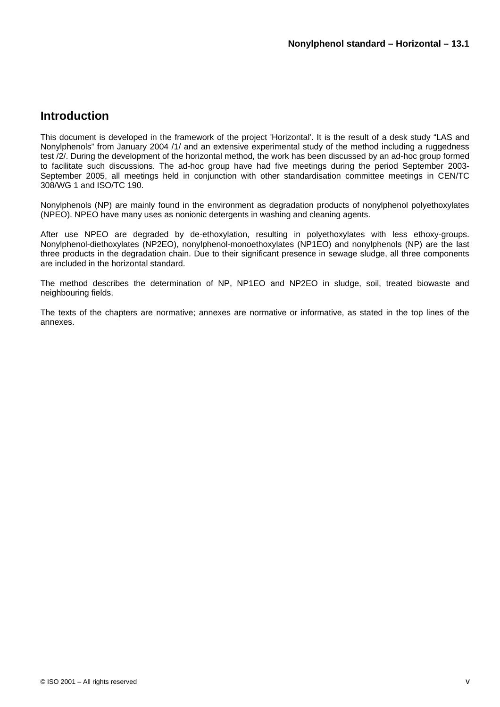## **Introduction**

This document is developed in the framework of the project 'Horizontal'. It is the result of a desk study "LAS and Nonylphenols" from January 2004 /1/ and an extensive experimental study of the method including a ruggedness test /2/. During the development of the horizontal method, the work has been discussed by an ad-hoc group formed to facilitate such discussions. The ad-hoc group have had five meetings during the period September 2003- September 2005, all meetings held in conjunction with other standardisation committee meetings in CEN/TC 308/WG 1 and ISO/TC 190.

Nonylphenols (NP) are mainly found in the environment as degradation products of nonylphenol polyethoxylates (NPEO). NPEO have many uses as nonionic detergents in washing and cleaning agents.

After use NPEO are degraded by de-ethoxylation, resulting in polyethoxylates with less ethoxy-groups. Nonylphenol-diethoxylates (NP2EO), nonylphenol-monoethoxylates (NP1EO) and nonylphenols (NP) are the last three products in the degradation chain. Due to their significant presence in sewage sludge, all three components are included in the horizontal standard.

The method describes the determination of NP, NP1EO and NP2EO in sludge, soil, treated biowaste and neighbouring fields.

The texts of the chapters are normative; annexes are normative or informative, as stated in the top lines of the annexes.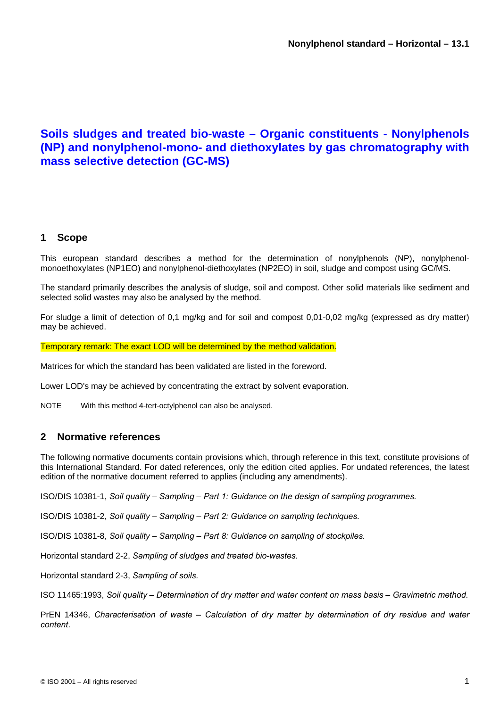## **Soils sludges and treated bio-waste – Organic constituents - Nonylphenols (NP) and nonylphenol-mono- and diethoxylates by gas chromatography with mass selective detection (GC-MS)**

## **1 Scope**

This european standard describes a method for the determination of nonylphenols (NP), nonylphenolmonoethoxylates (NP1EO) and nonylphenol-diethoxylates (NP2EO) in soil, sludge and compost using GC/MS.

The standard primarily describes the analysis of sludge, soil and compost. Other solid materials like sediment and selected solid wastes may also be analysed by the method.

For sludge a limit of detection of 0,1 mg/kg and for soil and compost 0,01-0,02 mg/kg (expressed as dry matter) may be achieved.

Temporary remark: The exact LOD will be determined by the method validation.

Matrices for which the standard has been validated are listed in the foreword.

Lower LOD's may be achieved by concentrating the extract by solvent evaporation.

NOTE With this method 4-tert-octylphenol can also be analysed.

## **2 Normative references**

The following normative documents contain provisions which, through reference in this text, constitute provisions of this International Standard. For dated references, only the edition cited applies. For undated references, the latest edition of the normative document referred to applies (including any amendments).

ISO/DIS 10381-1, *Soil quality – Sampling – Part 1: Guidance on the design of sampling programmes.* 

ISO/DIS 10381-2, *Soil quality – Sampling – Part 2: Guidance on sampling techniques.* 

ISO/DIS 10381-8, *Soil quality – Sampling – Part 8: Guidance on sampling of stockpiles.* 

Horizontal standard 2-2, *Sampling of sludges and treated bio-wastes.*

Horizontal standard 2-3, *Sampling of soils.* 

ISO 11465:1993, *Soil quality – Determination of dry matter and water content on mass basis – Gravimetric method.* 

PrEN 14346, *Characterisation of waste – Calculation of dry matter by determination of dry residue and water content*.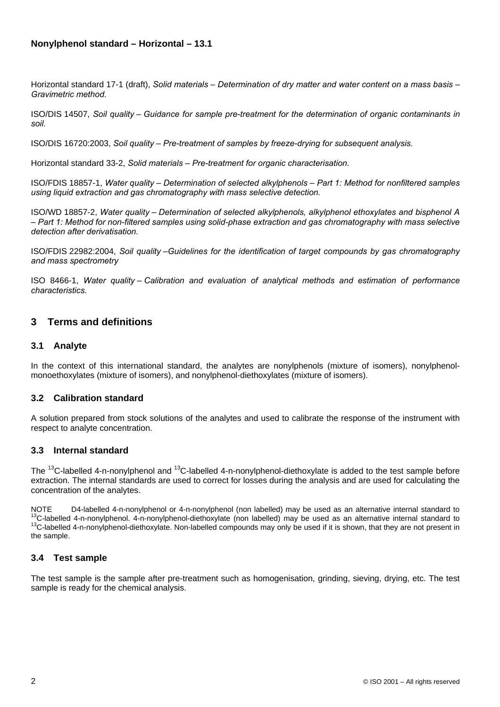Horizontal standard 17-1 (draft), *Solid materials – Determination of dry matter and water content on a mass basis – Gravimetric method.* 

ISO/DIS 14507, *Soil quality – Guidance for sample pre-treatment for the determination of organic contaminants in soil.* 

ISO/DIS 16720:2003, *Soil quality – Pre-treatment of samples by freeze-drying for subsequent analysis.* 

Horizontal standard 33-2, *Solid materials – Pre-treatment for organic characterisation.*

ISO/FDIS 18857-1, *Water quality – Determination of selected alkylphenols – Part 1: Method for nonfiltered samples using liquid extraction and gas chromatography with mass selective detection.* 

ISO/WD 18857-2, *Water quality – Determination of selected alkylphenols, alkylphenol ethoxylates and bisphenol A – Part 1: Method for non-filtered samples using solid-phase extraction and gas chromatography with mass selective detection after derivatisation.* 

ISO/FDIS 22982:2004, *Soil quality –Guidelines for the identification of target compounds by gas chromatography and mass spectrometry* 

ISO 8466-1, *Water quality – Calibration and evaluation of analytical methods and estimation of performance characteristics.* 

### **3 Terms and definitions**

#### **3.1 Analyte**

In the context of this international standard, the analytes are nonylphenols (mixture of isomers), nonylphenolmonoethoxylates (mixture of isomers), and nonylphenol-diethoxylates (mixture of isomers).

#### **3.2 Calibration standard**

A solution prepared from stock solutions of the analytes and used to calibrate the response of the instrument with respect to analyte concentration.

#### **3.3 Internal standard**

The <sup>13</sup>C-labelled 4-n-nonylphenol and <sup>13</sup>C-labelled 4-n-nonylphenol-diethoxylate is added to the test sample before extraction. The internal standards are used to correct for losses during the analysis and are used for calculating the concentration of the analytes.

NOTE D4-labelled 4-n-nonylphenol or 4-n-nonylphenol (non labelled) may be used as an alternative internal standard to<br><sup>13</sup>C-labelled 4-n-nonylphenol. 4-n-nonylphenol-diethoxylate (non labelled) may be used as an alternativ the sample.

#### **3.4 Test sample**

The test sample is the sample after pre-treatment such as homogenisation, grinding, sieving, drying, etc. The test sample is ready for the chemical analysis.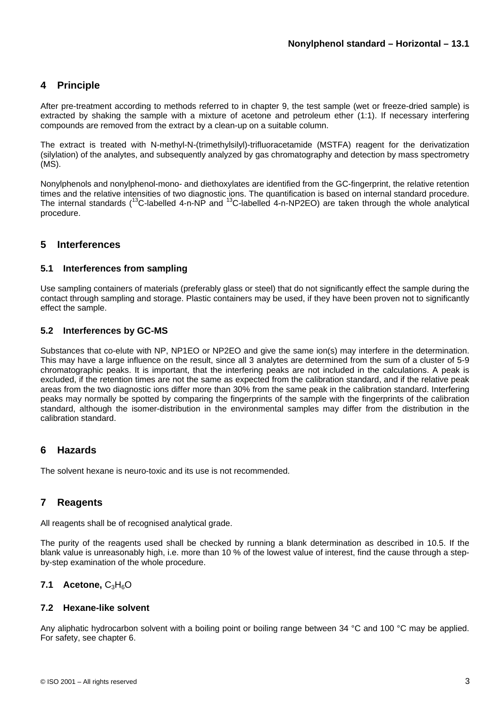## **4 Principle**

After pre-treatment according to methods referred to in chapter 9, the test sample (wet or freeze-dried sample) is extracted by shaking the sample with a mixture of acetone and petroleum ether (1:1). If necessary interfering compounds are removed from the extract by a clean-up on a suitable column.

The extract is treated with N-methyl-N-(trimethylsilyl)-trifluoracetamide (MSTFA) reagent for the derivatization (silylation) of the analytes, and subsequently analyzed by gas chromatography and detection by mass spectrometry (MS).

Nonylphenols and nonylphenol-mono- and diethoxylates are identified from the GC-fingerprint, the relative retention times and the relative intensities of two diagnostic ions. The quantification is based on internal standard procedure. The internal standards ( $^{13}$ C-labelled 4-n-NP and  $^{13}$ C-labelled 4-n-NP2EO) are taken through the whole analytical procedure.

## **5 Interferences**

### **5.1 Interferences from sampling**

Use sampling containers of materials (preferably glass or steel) that do not significantly effect the sample during the contact through sampling and storage. Plastic containers may be used, if they have been proven not to significantly effect the sample.

### **5.2 Interferences by GC-MS**

Substances that co-elute with NP, NP1EO or NP2EO and give the same ion(s) may interfere in the determination. This may have a large influence on the result, since all 3 analytes are determined from the sum of a cluster of 5-9 chromatographic peaks. It is important, that the interfering peaks are not included in the calculations. A peak is excluded, if the retention times are not the same as expected from the calibration standard, and if the relative peak areas from the two diagnostic ions differ more than 30% from the same peak in the calibration standard. Interfering peaks may normally be spotted by comparing the fingerprints of the sample with the fingerprints of the calibration standard, although the isomer-distribution in the environmental samples may differ from the distribution in the calibration standard.

## **6 Hazards**

The solvent hexane is neuro-toxic and its use is not recommended.

## **7 Reagents**

All reagents shall be of recognised analytical grade.

The purity of the reagents used shall be checked by running a blank determination as described in 10.5. If the blank value is unreasonably high, i.e. more than 10 % of the lowest value of interest, find the cause through a stepby-step examination of the whole procedure.

## **7.1 Acetone, C<sub>3</sub>H<sub>6</sub>O**

#### **7.2 Hexane-like solvent**

Any aliphatic hydrocarbon solvent with a boiling point or boiling range between 34 °C and 100 °C may be applied. For safety, see chapter 6.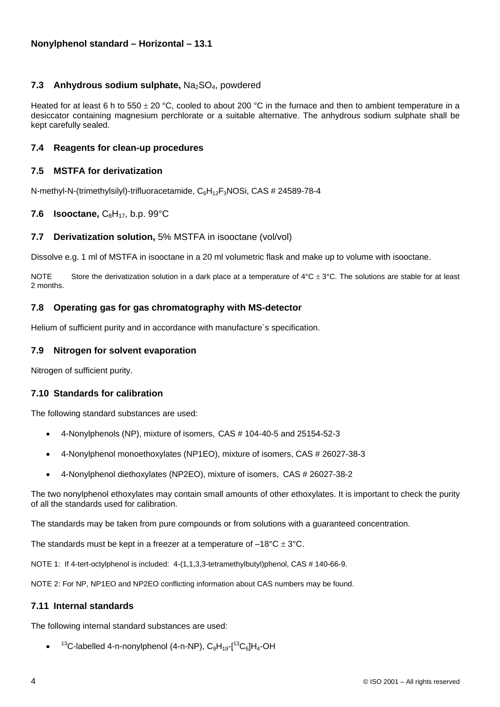### **7.3 Anhydrous sodium sulphate, Na<sub>2</sub>SO<sub>4</sub>, powdered**

Heated for at least 6 h to 550  $\pm$  20 °C, cooled to about 200 °C in the furnace and then to ambient temperature in a desiccator containing magnesium perchlorate or a suitable alternative. The anhydrous sodium sulphate shall be kept carefully sealed.

#### **7.4 Reagents for clean-up procedures**

#### **7.5 MSTFA for derivatization**

N-methyl-N-(trimethylsilyl)-trifluoracetamide, C<sub>6</sub>H<sub>12</sub>F<sub>3</sub>NOSi, CAS # 24589-78-4

#### **7.6 Isooctane,**  $C_8H_{17}$ , b.p. 99 $^{\circ}$ C

#### **7.7 Derivatization solution,** 5% MSTFA in isooctane (vol/vol)

Dissolve e.g. 1 ml of MSTFA in isooctane in a 20 ml volumetric flask and make up to volume with isooctane.

NOTE Store the derivatization solution in a dark place at a temperature of  $4^{\circ}$ C  $\pm$  3°C. The solutions are stable for at least 2 months.

#### **7.8 Operating gas for gas chromatography with MS-detector**

Helium of sufficient purity and in accordance with manufacture´s specification.

#### **7.9 Nitrogen for solvent evaporation**

Nitrogen of sufficient purity.

#### **7.10 Standards for calibration**

The following standard substances are used:

- 4-Nonylphenols (NP), mixture of isomers, CAS # 104-40-5 and 25154-52-3
- 4-Nonylphenol monoethoxylates (NP1EO), mixture of isomers, CAS # 26027-38-3
- 4-Nonylphenol diethoxylates (NP2EO), mixture of isomers, CAS # 26027-38-2

The two nonylphenol ethoxylates may contain small amounts of other ethoxylates. It is important to check the purity of all the standards used for calibration.

The standards may be taken from pure compounds or from solutions with a guaranteed concentration.

The standards must be kept in a freezer at a temperature of  $-18^{\circ}$ C  $\pm$  3°C.

NOTE 1: If 4-tert-octylphenol is included: 4-(1,1,3,3-tetramethylbutyl)phenol, CAS # 140-66-9.

NOTE 2: For NP, NP1EO and NP2EO conflicting information about CAS numbers may be found.

#### **7.11 Internal standards**

The following internal standard substances are used:

• <sup>13</sup>C-labelled 4-n-nonylphenol (4-n-NP),  $C_9H_{19}$ -[<sup>13</sup>C<sub>6</sub>]H<sub>4</sub>-OH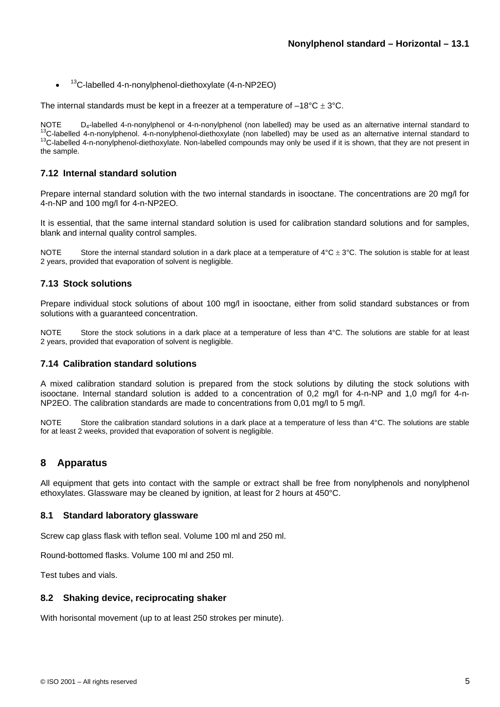•  $13C$ -labelled 4-n-nonylphenol-diethoxylate (4-n-NP2EO)

The internal standards must be kept in a freezer at a temperature of  $-18^{\circ}C \pm 3^{\circ}C$ .

NOTE  $D_4$ -labelled 4-n-nonylphenol or 4-n-nonylphenol (non labelled) may be used as an alternative internal standard to <sup>13</sup>C-labelled 4-n-nonylphenol. 4-n-nonylphenol-diethoxylate (non labelled) may be used as an altern the sample.

#### **7.12 Internal standard solution**

Prepare internal standard solution with the two internal standards in isooctane. The concentrations are 20 mg/l for 4-n-NP and 100 mg/l for 4-n-NP2EO.

It is essential, that the same internal standard solution is used for calibration standard solutions and for samples, blank and internal quality control samples.

NOTE Store the internal standard solution in a dark place at a temperature of  $4^{\circ}$ C  $\pm$  3°C. The solution is stable for at least 2 years, provided that evaporation of solvent is negligible.

#### **7.13 Stock solutions**

Prepare individual stock solutions of about 100 mg/l in isooctane, either from solid standard substances or from solutions with a guaranteed concentration.

NOTE Store the stock solutions in a dark place at a temperature of less than 4°C. The solutions are stable for at least 2 years, provided that evaporation of solvent is negligible.

#### **7.14 Calibration standard solutions**

A mixed calibration standard solution is prepared from the stock solutions by diluting the stock solutions with isooctane. Internal standard solution is added to a concentration of 0,2 mg/l for 4-n-NP and 1,0 mg/l for 4-n-NP2EO. The calibration standards are made to concentrations from 0,01 mg/l to 5 mg/l.

NOTE Store the calibration standard solutions in a dark place at a temperature of less than 4°C. The solutions are stable for at least 2 weeks, provided that evaporation of solvent is negligible.

#### **8 Apparatus**

All equipment that gets into contact with the sample or extract shall be free from nonylphenols and nonylphenol ethoxylates. Glassware may be cleaned by ignition, at least for 2 hours at 450°C.

#### **8.1 Standard laboratory glassware**

Screw cap glass flask with teflon seal. Volume 100 ml and 250 ml.

Round-bottomed flasks. Volume 100 ml and 250 ml.

Test tubes and vials.

#### **8.2 Shaking device, reciprocating shaker**

With horisontal movement (up to at least 250 strokes per minute).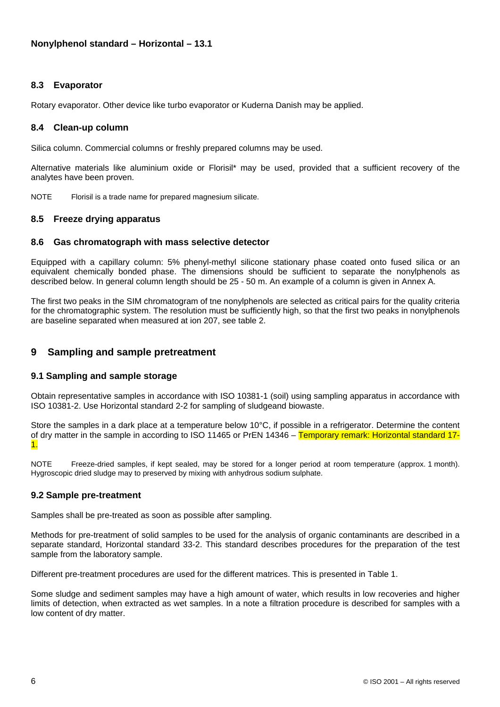## **8.3 Evaporator**

Rotary evaporator. Other device like turbo evaporator or Kuderna Danish may be applied.

#### **8.4 Clean-up column**

Silica column. Commercial columns or freshly prepared columns may be used.

Alternative materials like aluminium oxide or Florisil\* may be used, provided that a sufficient recovery of the analytes have been proven.

NOTE Florisil is a trade name for prepared magnesium silicate.

#### **8.5 Freeze drying apparatus**

#### **8.6 Gas chromatograph with mass selective detector**

Equipped with a capillary column: 5% phenyl-methyl silicone stationary phase coated onto fused silica or an equivalent chemically bonded phase. The dimensions should be sufficient to separate the nonylphenols as described below. In general column length should be 25 - 50 m. An example of a column is given in Annex A.

The first two peaks in the SIM chromatogram of tne nonylphenols are selected as critical pairs for the quality criteria for the chromatographic system. The resolution must be sufficiently high, so that the first two peaks in nonylphenols are baseline separated when measured at ion 207, see table 2.

## **9 Sampling and sample pretreatment**

#### **9.1 Sampling and sample storage**

Obtain representative samples in accordance with ISO 10381-1 (soil) using sampling apparatus in accordance with ISO 10381-2. Use Horizontal standard 2-2 for sampling of sludgeand biowaste.

Store the samples in a dark place at a temperature below 10°C, if possible in a refrigerator. Determine the content of dry matter in the sample in according to ISO 11465 or PrEN 14346 – Temporary remark: Horizontal standard 17-1.

NOTE Freeze-dried samples, if kept sealed, may be stored for a longer period at room temperature (approx. 1 month). Hygroscopic dried sludge may to preserved by mixing with anhydrous sodium sulphate.

#### **9.2 Sample pre-treatment**

Samples shall be pre-treated as soon as possible after sampling.

Methods for pre-treatment of solid samples to be used for the analysis of organic contaminants are described in a separate standard, Horizontal standard 33-2. This standard describes procedures for the preparation of the test sample from the laboratory sample.

Different pre-treatment procedures are used for the different matrices. This is presented in Table 1.

Some sludge and sediment samples may have a high amount of water, which results in low recoveries and higher limits of detection, when extracted as wet samples. In a note a filtration procedure is described for samples with a low content of dry matter.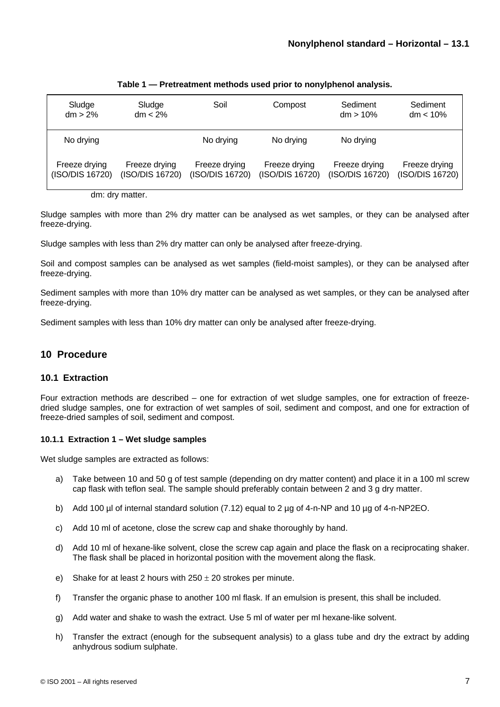| Sludge<br>$dm > 2\%$             | Sludge<br>$dm < 2\%$             | Soil                             | Compost                          | Sediment<br>$dm > 10\%$          | Sediment<br>$dm < 10\%$          |
|----------------------------------|----------------------------------|----------------------------------|----------------------------------|----------------------------------|----------------------------------|
| No drying                        |                                  | No drying                        | No drying                        | No drying                        |                                  |
| Freeze drying<br>(ISO/DIS 16720) | Freeze drying<br>(ISO/DIS 16720) | Freeze drying<br>(ISO/DIS 16720) | Freeze drying<br>(ISO/DIS 16720) | Freeze drying<br>(ISO/DIS 16720) | Freeze drying<br>(ISO/DIS 16720) |

#### **Table 1 — Pretreatment methods used prior to nonylphenol analysis.**

dm: dry matter.

Sludge samples with more than 2% dry matter can be analysed as wet samples, or they can be analysed after freeze-drying.

Sludge samples with less than 2% dry matter can only be analysed after freeze-drying.

Soil and compost samples can be analysed as wet samples (field-moist samples), or they can be analysed after freeze-drying.

Sediment samples with more than 10% dry matter can be analysed as wet samples, or they can be analysed after freeze-drying.

Sediment samples with less than 10% dry matter can only be analysed after freeze-drying.

#### **10 Procedure**

#### **10.1 Extraction**

Four extraction methods are described – one for extraction of wet sludge samples, one for extraction of freezedried sludge samples, one for extraction of wet samples of soil, sediment and compost, and one for extraction of freeze-dried samples of soil, sediment and compost.

#### **10.1.1 Extraction 1 – Wet sludge samples**

Wet sludge samples are extracted as follows:

- a) Take between 10 and 50 g of test sample (depending on dry matter content) and place it in a 100 ml screw cap flask with teflon seal. The sample should preferably contain between 2 and 3 g dry matter.
- b) Add 100 µl of internal standard solution (7.12) equal to 2 µg of 4-n-NP and 10 µg of 4-n-NP2EO.
- c) Add 10 ml of acetone, close the screw cap and shake thoroughly by hand.
- d) Add 10 ml of hexane-like solvent, close the screw cap again and place the flask on a reciprocating shaker. The flask shall be placed in horizontal position with the movement along the flask.
- e) Shake for at least 2 hours with  $250 \pm 20$  strokes per minute.
- f) Transfer the organic phase to another 100 ml flask. If an emulsion is present, this shall be included.
- g) Add water and shake to wash the extract. Use 5 ml of water per ml hexane-like solvent.
- h) Transfer the extract (enough for the subsequent analysis) to a glass tube and dry the extract by adding anhydrous sodium sulphate.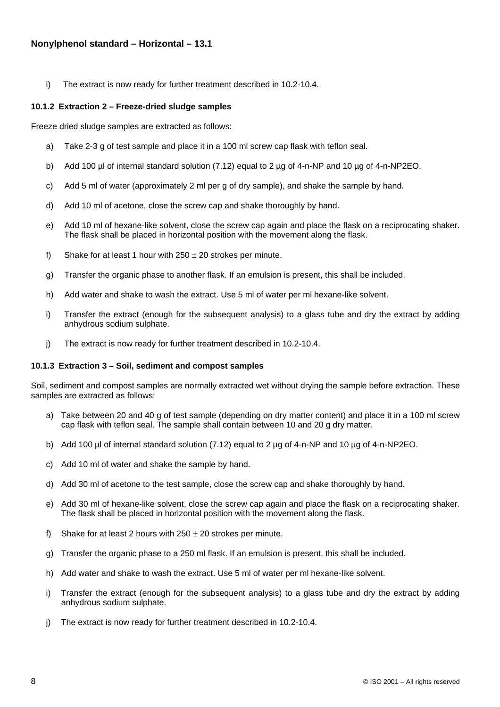i) The extract is now ready for further treatment described in 10.2-10.4.

#### **10.1.2 Extraction 2 – Freeze-dried sludge samples**

Freeze dried sludge samples are extracted as follows:

- a) Take 2-3 g of test sample and place it in a 100 ml screw cap flask with teflon seal.
- b) Add 100 µl of internal standard solution (7.12) equal to 2 µg of 4-n-NP and 10 µg of 4-n-NP2EO.
- c) Add 5 ml of water (approximately 2 ml per g of dry sample), and shake the sample by hand.
- d) Add 10 ml of acetone, close the screw cap and shake thoroughly by hand.
- e) Add 10 ml of hexane-like solvent, close the screw cap again and place the flask on a reciprocating shaker. The flask shall be placed in horizontal position with the movement along the flask.
- f) Shake for at least 1 hour with  $250 \pm 20$  strokes per minute.
- g) Transfer the organic phase to another flask. If an emulsion is present, this shall be included.
- h) Add water and shake to wash the extract. Use 5 ml of water per ml hexane-like solvent.
- i) Transfer the extract (enough for the subsequent analysis) to a glass tube and dry the extract by adding anhydrous sodium sulphate.
- j) The extract is now ready for further treatment described in 10.2-10.4.

#### **10.1.3 Extraction 3 – Soil, sediment and compost samples**

Soil, sediment and compost samples are normally extracted wet without drying the sample before extraction. These samples are extracted as follows:

- a) Take between 20 and 40 g of test sample (depending on dry matter content) and place it in a 100 ml screw cap flask with teflon seal. The sample shall contain between 10 and 20 g dry matter.
- b) Add 100 µl of internal standard solution (7.12) equal to 2 µg of 4-n-NP and 10 µg of 4-n-NP2EO.
- c) Add 10 ml of water and shake the sample by hand.
- d) Add 30 ml of acetone to the test sample, close the screw cap and shake thoroughly by hand.
- e) Add 30 ml of hexane-like solvent, close the screw cap again and place the flask on a reciprocating shaker. The flask shall be placed in horizontal position with the movement along the flask.
- f) Shake for at least 2 hours with  $250 \pm 20$  strokes per minute.
- g) Transfer the organic phase to a 250 ml flask. If an emulsion is present, this shall be included.
- h) Add water and shake to wash the extract. Use 5 ml of water per ml hexane-like solvent.
- i) Transfer the extract (enough for the subsequent analysis) to a glass tube and dry the extract by adding anhydrous sodium sulphate.
- j) The extract is now ready for further treatment described in 10.2-10.4.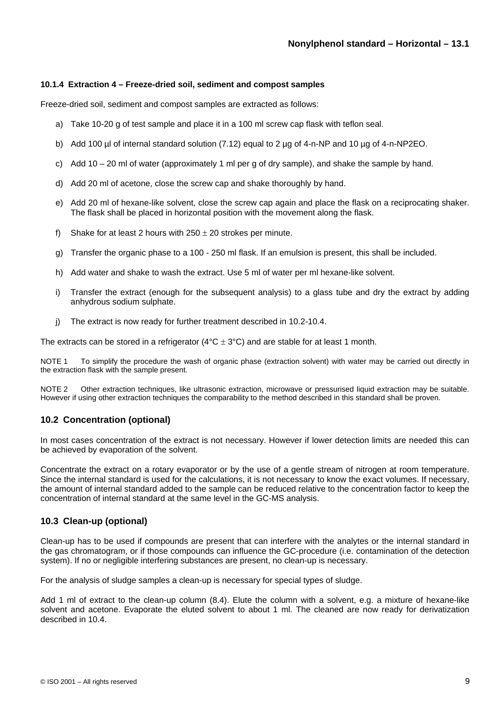#### **10.1.4 Extraction 4 – Freeze-dried soil, sediment and compost samples**

Freeze-dried soil, sediment and compost samples are extracted as follows:

- a) Take 10-20 g of test sample and place it in a 100 ml screw cap flask with teflon seal.
- b) Add 100 µl of internal standard solution (7.12) equal to 2 µg of 4-n-NP and 10 µg of 4-n-NP2EO.
- c) Add 10 20 ml of water (approximately 1 ml per g of dry sample), and shake the sample by hand.
- d) Add 20 ml of acetone, close the screw cap and shake thoroughly by hand.
- e) Add 20 ml of hexane-like solvent, close the screw cap again and place the flask on a reciprocating shaker. The flask shall be placed in horizontal position with the movement along the flask.
- f) Shake for at least 2 hours with  $250 \pm 20$  strokes per minute.
- g) Transfer the organic phase to a 100 250 ml flask. If an emulsion is present, this shall be included.
- h) Add water and shake to wash the extract. Use 5 ml of water per ml hexane-like solvent.
- i) Transfer the extract (enough for the subsequent analysis) to a glass tube and dry the extract by adding anhydrous sodium sulphate.
- j) The extract is now ready for further treatment described in 10.2-10.4.

The extracts can be stored in a refrigerator ( $4^{\circ}$ C  $\pm$  3°C) and are stable for at least 1 month.

NOTE 1 To simplify the procedure the wash of organic phase (extraction solvent) with water may be carried out directly in the extraction flask with the sample present.

NOTE 2 Other extraction techniques, like ultrasonic extraction, microwave or pressurised liquid extraction may be suitable. However if using other extraction techniques the comparability to the method described in this standard shall be proven.

#### **10.2 Concentration (optional)**

In most cases concentration of the extract is not necessary. However if lower detection limits are needed this can be achieved by evaporation of the solvent.

Concentrate the extract on a rotary evaporator or by the use of a gentle stream of nitrogen at room temperature. Since the internal standard is used for the calculations, it is not necessary to know the exact volumes. If necessary, the amount of internal standard added to the sample can be reduced relative to the concentration factor to keep the concentration of internal standard at the same level in the GC-MS analysis.

#### **10.3 Clean-up (optional)**

Clean-up has to be used if compounds are present that can interfere with the analytes or the internal standard in the gas chromatogram, or if those compounds can influence the GC-procedure (i.e. contamination of the detection system). If no or negligible interfering substances are present, no clean-up is necessary.

For the analysis of sludge samples a clean-up is necessary for special types of sludge.

Add 1 ml of extract to the clean-up column (8.4). Elute the column with a solvent, e.g. a mixture of hexane-like solvent and acetone. Evaporate the eluted solvent to about 1 ml. The cleaned are now ready for derivatization described in 10.4.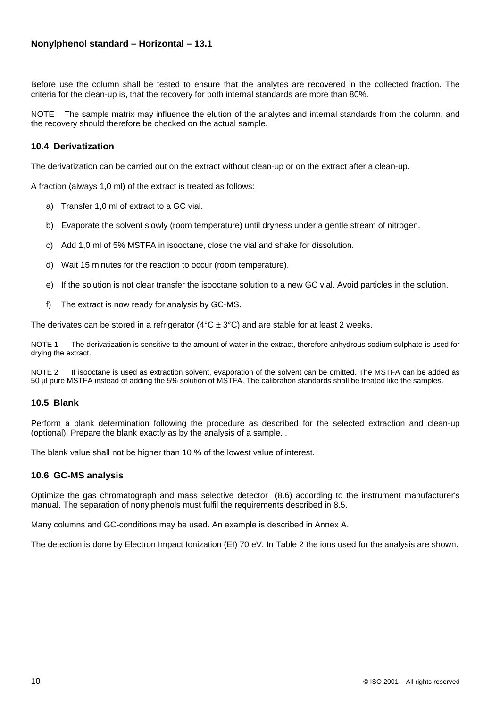Before use the column shall be tested to ensure that the analytes are recovered in the collected fraction. The criteria for the clean-up is, that the recovery for both internal standards are more than 80%.

NOTE The sample matrix may influence the elution of the analytes and internal standards from the column, and the recovery should therefore be checked on the actual sample.

#### **10.4 Derivatization**

The derivatization can be carried out on the extract without clean-up or on the extract after a clean-up.

A fraction (always 1,0 ml) of the extract is treated as follows:

- a) Transfer 1,0 ml of extract to a GC vial.
- b) Evaporate the solvent slowly (room temperature) until dryness under a gentle stream of nitrogen.
- c) Add 1,0 ml of 5% MSTFA in isooctane, close the vial and shake for dissolution.
- d) Wait 15 minutes for the reaction to occur (room temperature).
- e) If the solution is not clear transfer the isooctane solution to a new GC vial. Avoid particles in the solution.
- f) The extract is now ready for analysis by GC-MS.

The derivates can be stored in a refrigerator ( $4^{\circ}C \pm 3^{\circ}C$ ) and are stable for at least 2 weeks.

NOTE 1 The derivatization is sensitive to the amount of water in the extract, therefore anhydrous sodium sulphate is used for drying the extract.

NOTE 2 If isooctane is used as extraction solvent, evaporation of the solvent can be omitted. The MSTFA can be added as 50 µl pure MSTFA instead of adding the 5% solution of MSTFA. The calibration standards shall be treated like the samples.

#### **10.5 Blank**

Perform a blank determination following the procedure as described for the selected extraction and clean-up (optional). Prepare the blank exactly as by the analysis of a sample. .

The blank value shall not be higher than 10 % of the lowest value of interest.

#### **10.6 GC-MS analysis**

Optimize the gas chromatograph and mass selective detector (8.6) according to the instrument manufacturer's manual. The separation of nonylphenols must fulfil the requirements described in 8.5.

Many columns and GC-conditions may be used. An example is described in Annex A.

The detection is done by Electron Impact Ionization (EI) 70 eV. In Table 2 the ions used for the analysis are shown.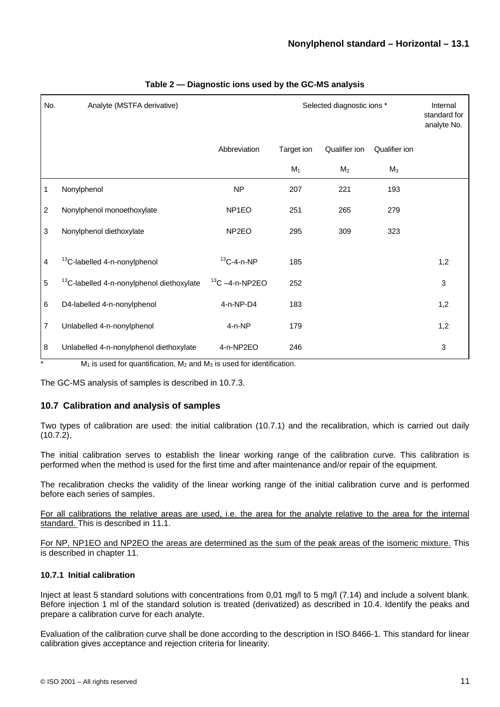| No.            | Analyte (MSTFA derivative)                            | Selected diagnostic ions * |            | Internal<br>standard for<br>analyte No. |               |              |
|----------------|-------------------------------------------------------|----------------------------|------------|-----------------------------------------|---------------|--------------|
|                |                                                       | Abbreviation               | Target ion | Qualifier ion                           | Qualifier ion |              |
|                |                                                       |                            | $M_1$      | M <sub>2</sub>                          | $M_3$         |              |
| 1              | Nonylphenol                                           | <b>NP</b>                  | 207        | 221                                     | 193           |              |
| $\overline{c}$ | Nonylphenol monoethoxylate                            | NP <sub>1</sub> EO         | 251        | 265                                     | 279           |              |
| 3              | Nonylphenol diethoxylate                              | NP <sub>2EO</sub>          | 295        | 309                                     | 323           |              |
| 4              | <sup>13</sup> C-labelled 4-n-nonylphenol              | $13$ C-4-n-NP              | 185        |                                         |               | 1,2          |
| 5              | <sup>13</sup> C-labelled 4-n-nonylphenol diethoxylate | $13$ C $-4$ -n-NP2EO       | 252        |                                         |               | $\mathbf{3}$ |
| 6              | D4-labelled 4-n-nonylphenol                           | 4-n-NP-D4                  | 183        |                                         |               | 1,2          |
| 7              | Unlabelled 4-n-nonylphenol                            | $4-n-NP$                   | 179        |                                         |               | 1,2          |
| 8              | Unlabelled 4-n-nonylphenol diethoxylate               | 4-n-NP2EO                  | 246        |                                         |               | $\mathbf{3}$ |

#### **Table 2 — Diagnostic ions used by the GC-MS analysis**

 $M_1$  is used for quantification,  $M_2$  and  $M_3$  is used for identification.

The GC-MS analysis of samples is described in 10.7.3.

## **10.7 Calibration and analysis of samples**

Two types of calibration are used: the initial calibration (10.7.1) and the recalibration, which is carried out daily (10.7.2).

The initial calibration serves to establish the linear working range of the calibration curve. This calibration is performed when the method is used for the first time and after maintenance and/or repair of the equipment.

The recalibration checks the validity of the linear working range of the initial calibration curve and is performed before each series of samples.

For all calibrations the relative areas are used, i.e. the area for the analyte relative to the area for the internal standard. This is described in 11.1.

For NP, NP1EO and NP2EO the areas are determined as the sum of the peak areas of the isomeric mixture. This is described in chapter 11.

#### **10.7.1 Initial calibration**

Inject at least 5 standard solutions with concentrations from 0,01 mg/l to 5 mg/l (7.14) and include a solvent blank. Before injection 1 ml of the standard solution is treated (derivatized) as described in 10.4. Identify the peaks and prepare a calibration curve for each analyte.

Evaluation of the calibration curve shall be done according to the description in ISO 8466-1. This standard for linear calibration gives acceptance and rejection criteria for linearity.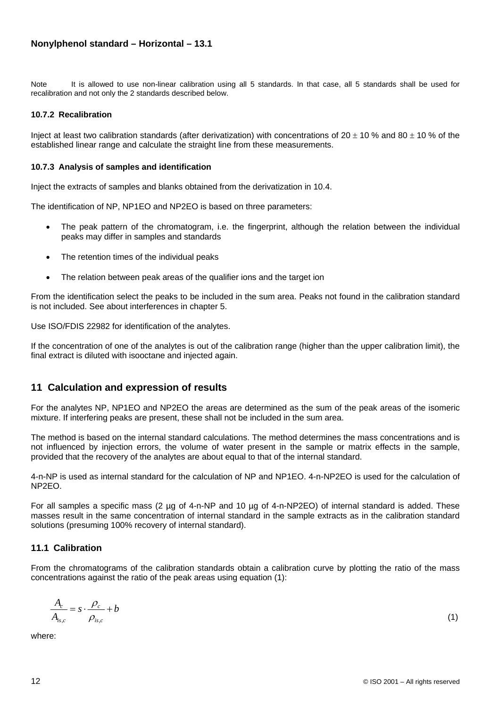Note It is allowed to use non-linear calibration using all 5 standards. In that case, all 5 standards shall be used for recalibration and not only the 2 standards described below.

#### **10.7.2 Recalibration**

Inject at least two calibration standards (after derivatization) with concentrations of  $20 \pm 10$  % and  $80 \pm 10$  % of the established linear range and calculate the straight line from these measurements.

#### **10.7.3 Analysis of samples and identification**

Inject the extracts of samples and blanks obtained from the derivatization in 10.4.

The identification of NP, NP1EO and NP2EO is based on three parameters:

- The peak pattern of the chromatogram, i.e. the fingerprint, although the relation between the individual peaks may differ in samples and standards
- The retention times of the individual peaks
- The relation between peak areas of the qualifier ions and the target ion

From the identification select the peaks to be included in the sum area. Peaks not found in the calibration standard is not included. See about interferences in chapter 5.

Use ISO/FDIS 22982 for identification of the analytes.

If the concentration of one of the analytes is out of the calibration range (higher than the upper calibration limit), the final extract is diluted with isooctane and injected again.

## **11 Calculation and expression of results**

For the analytes NP, NP1EO and NP2EO the areas are determined as the sum of the peak areas of the isomeric mixture. If interfering peaks are present, these shall not be included in the sum area.

The method is based on the internal standard calculations. The method determines the mass concentrations and is not influenced by injection errors, the volume of water present in the sample or matrix effects in the sample, provided that the recovery of the analytes are about equal to that of the internal standard.

4-n-NP is used as internal standard for the calculation of NP and NP1EO. 4-n-NP2EO is used for the calculation of NP2EO.

For all samples a specific mass (2 µg of 4-n-NP and 10 µg of 4-n-NP2EO) of internal standard is added. These masses result in the same concentration of internal standard in the sample extracts as in the calibration standard solutions (presuming 100% recovery of internal standard).

#### **11.1 Calibration**

From the chromatograms of the calibration standards obtain a calibration curve by plotting the ratio of the mass concentrations against the ratio of the peak areas using equation (1):

$$
\frac{A_c}{A_{is,c}} = s \cdot \frac{\rho_c}{\rho_{is,c}} + b \tag{1}
$$

where: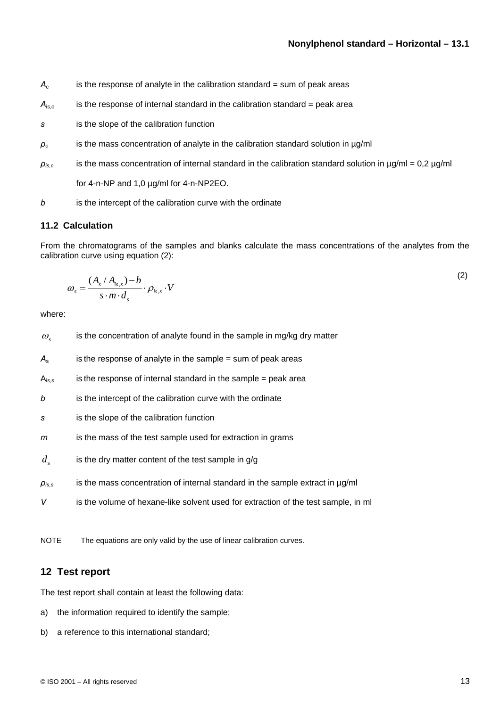- $A_c$  is the response of analyte in the calibration standard = sum of peak areas
- $A<sub>is.c</sub>$  is the response of internal standard in the calibration standard = peak area
- *s* is the slope of the calibration function
- *ρc* is the mass concentration of analyte in the calibration standard solution in µg/ml
- *ρis,c* is the mass concentration of internal standard in the calibration standard solution in µg/ml = 0,2 µg/ml

for 4-n-NP and 1,0 µg/ml for 4-n-NP2EO.

*b* is the intercept of the calibration curve with the ordinate

### **11.2 Calculation**

From the chromatograms of the samples and blanks calculate the mass concentrations of the analytes from the calibration curve using equation (2):

$$
\omega_s = \frac{(A_s / A_{is,s}) - b}{s \cdot m \cdot d_s} \cdot \rho_{is,s} \cdot V \tag{2}
$$

where:

| $\omega_{\rm s}$                  | is the concentration of analyte found in the sample in mg/kg dry matter            |
|-----------------------------------|------------------------------------------------------------------------------------|
| $A_{\rm s}$                       | is the response of analyte in the sample $=$ sum of peak areas                     |
| $A_{is,s}$                        | is the response of internal standard in the sample $=$ peak area                   |
| b                                 | is the intercept of the calibration curve with the ordinate                        |
| s                                 | is the slope of the calibration function                                           |
| m                                 | is the mass of the test sample used for extraction in grams                        |
| $d_{s}$                           | is the dry matter content of the test sample in $q/q$                              |
| $\rho_{\scriptscriptstyle l s,s}$ | is the mass concentration of internal standard in the sample extract in $\mu$ g/ml |
| V                                 | is the volume of hexane-like solvent used for extraction of the test sample, in ml |

NOTE The equations are only valid by the use of linear calibration curves.

#### **12 Test report**

The test report shall contain at least the following data:

- a) the information required to identify the sample;
- b) a reference to this international standard;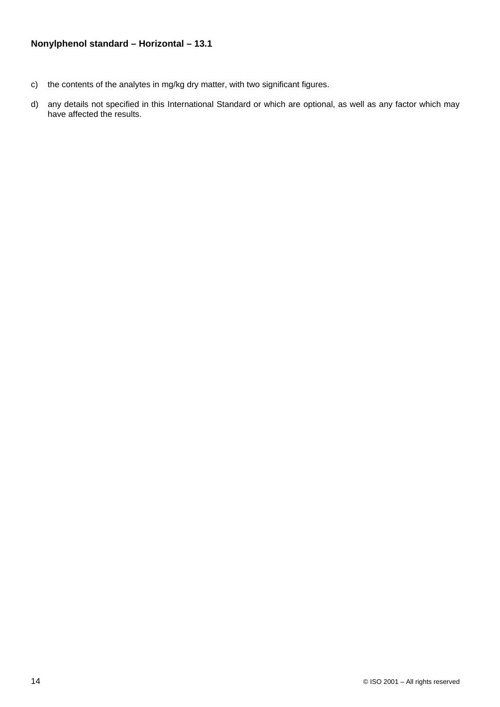- c) the contents of the analytes in mg/kg dry matter, with two significant figures.
- d) any details not specified in this International Standard or which are optional, as well as any factor which may have affected the results.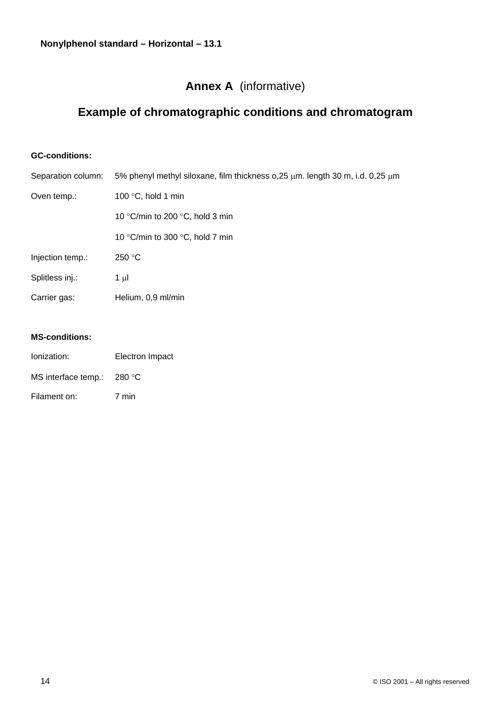## **Annex A** (informative)

# **Example of chromatographic conditions and chromatogram**

## **GC-conditions:**

| Separation column: | 5% phenyl methyl siloxane, film thickness $o$ , 25 $\mu$ m. length 30 m, i.d. 0, 25 $\mu$ m |  |  |
|--------------------|---------------------------------------------------------------------------------------------|--|--|
| Oven temp.:        | 100 $\degree$ C, hold 1 min                                                                 |  |  |
|                    | 10 °C/min to 200 °C, hold 3 min                                                             |  |  |
|                    | 10 °C/min to 300 °C, hold 7 min                                                             |  |  |
| Injection temp.:   | 250 °C                                                                                      |  |  |
| Splitless inj.:    | 1 µl                                                                                        |  |  |
| Carrier gas:       | Helium, 0,9 ml/min                                                                          |  |  |
|                    |                                                                                             |  |  |

## **MS-conditions:**

| lonization:                  | Electron Impact |
|------------------------------|-----------------|
| MS interface temp.: $280 °C$ |                 |
| Filament on:                 | 7 min           |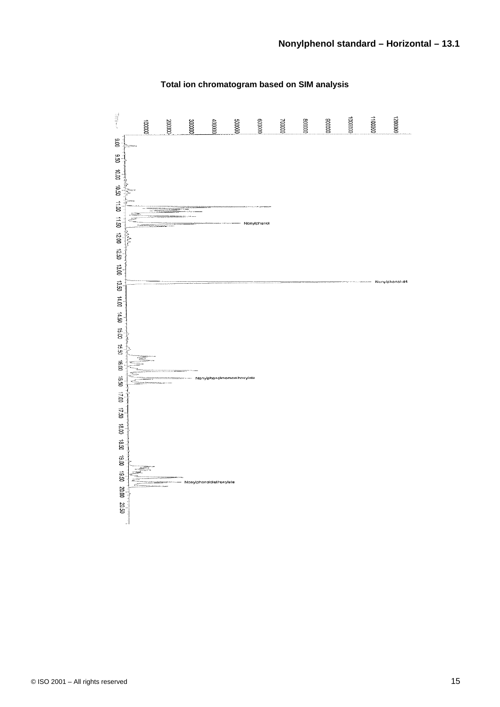

## **Total ion chromatogram based on SIM analysis**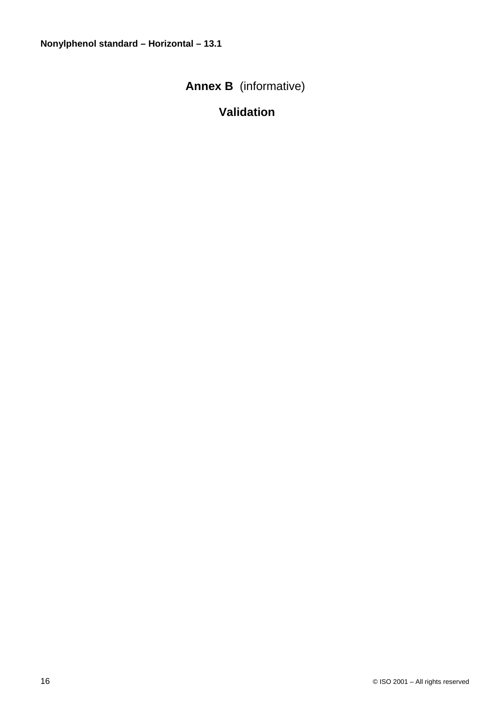# **Annex B** (informative)

# **Validation**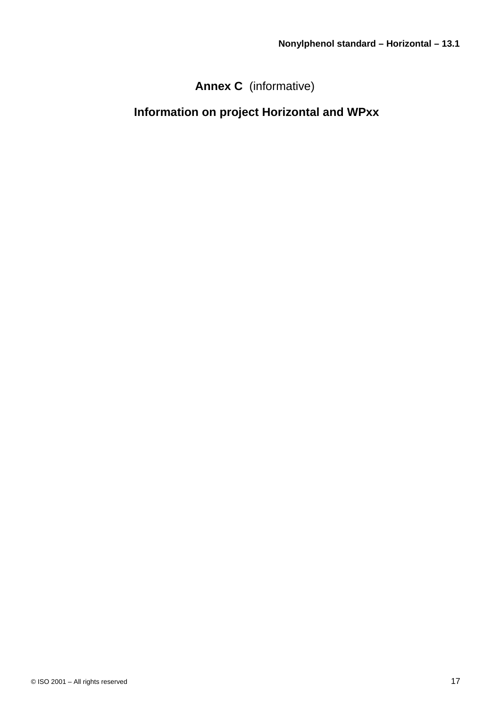# **Annex C** (informative)

# **Information on project Horizontal and WPxx**